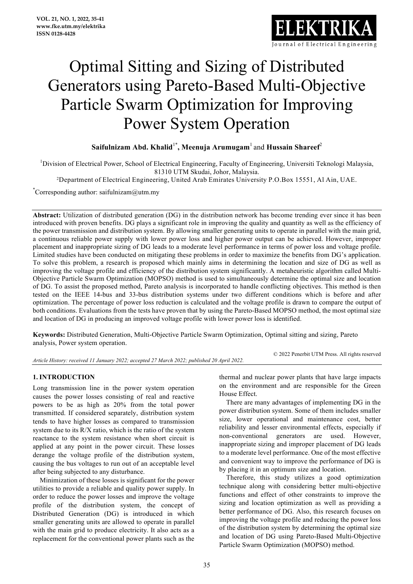

# Optimal Sitting and Sizing of Distributed Generators using Pareto-Based Multi-Objective Particle Swarm Optimization for Improving Power System Operation

# **Saifulnizam Abd. Khalid**1\* **, Meenuja Arumugam**<sup>1</sup> and **Hussain Shareef**<sup>2</sup>

<sup>1</sup>Division of Electrical Power, School of Electrical Engineering, Faculty of Engineering, Universiti Teknologi Malaysia, 81310 UTM Skudai, Johor, Malaysia.

2Department of Electrical Engineering, United Arab Emirates University P.O.Box 15551, Al Ain, UAE.

\* Corresponding author: saifulnizam@utm.my

**Abstract:** Utilization of distributed generation (DG) in the distribution network has become trending ever since it has been introduced with proven benefits. DG plays a significant role in improving the quality and quantity as well as the efficiency of the power transmission and distribution system. By allowing smaller generating units to operate in parallel with the main grid, a continuous reliable power supply with lower power loss and higher power output can be achieved. However, improper placement and inappropriate sizing of DG leads to a moderate level performance in terms of power loss and voltage profile. Limited studies have been conducted on mitigating these problems in order to maximize the benefits from DG's application. To solve this problem, a research is proposed which mainly aims in determining the location and size of DG as well as improving the voltage profile and efficiency of the distribution system significantly. A metaheuristic algorithm called Multi-Objective Particle Swarm Optimization (MOPSO) method is used to simultaneously determine the optimal size and location of DG. To assist the proposed method, Pareto analysis is incorporated to handle conflicting objectives. This method is then tested on the IEEE 14-bus and 33-bus distribution systems under two different conditions which is before and after optimization. The percentage of power loss reduction is calculated and the voltage profile is drawn to compare the output of both conditions. Evaluations from the tests have proven that by using the Pareto-Based MOPSO method, the most optimal size and location of DG in producing an improved voltage profile with lower power loss is identified.

**Keywords:** Distributed Generation, Multi-Objective Particle Swarm Optimization, Optimal sitting and sizing, Pareto analysis, Power system operation.

*Article History: received 11 January 2022; accepted 27 March 2022; published 20 April 2022.* 

© 2022 Penerbit UTM Press. All rights reserved

### **1. INTRODUCTION**

Long transmission line in the power system operation causes the power losses consisting of real and reactive powers to be as high as 20% from the total power transmitted. If considered separately, distribution system tends to have higher losses as compared to transmission system due to its R/X ratio, which is the ratio of the system reactance to the system resistance when short circuit is applied at any point in the power circuit. These losses derange the voltage profile of the distribution system, causing the bus voltages to run out of an acceptable level after being subjected to any disturbance.

Minimization of these losses is significant for the power utilities to provide a reliable and quality power supply. In order to reduce the power losses and improve the voltage profile of the distribution system, the concept of Distributed Generation (DG) is introduced in which smaller generating units are allowed to operate in parallel with the main grid to produce electricity. It also acts as a replacement for the conventional power plants such as the thermal and nuclear power plants that have large impacts on the environment and are responsible for the Green House Effect.

There are many advantages of implementing DG in the power distribution system. Some of them includes smaller size, lower operational and maintenance cost, better reliability and lesser environmental effects, especially if non-conventional generators are used. However, inappropriate sizing and improper placement of DG leads to a moderate level performance. One of the most effective and convenient way to improve the performance of DG is by placing it in an optimum size and location.

Therefore, this study utilizes a good optimization technique along with considering better multi-objective functions and effect of other constraints to improve the sizing and location optimization as well as providing a better performance of DG. Also, this research focuses on improving the voltage profile and reducing the power loss of the distribution system by determining the optimal size and location of DG using Pareto-Based Multi-Objective Particle Swarm Optimization (MOPSO) method.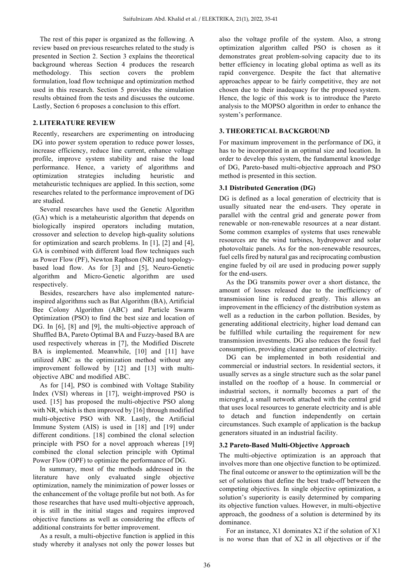The rest of this paper is organized as the following. A review based on previous researches related to the study is presented in Section 2. Section 3 explains the theoretical background whereas Section 4 produces the research methodology. This section covers the problem formulation, load flow technique and optimization method used in this research. Section 5 provides the simulation results obtained from the tests and discusses the outcome. Lastly, Section 6 proposes a conclusion to this effort.

## **2. LITERATURE REVIEW**

Recently, researchers are experimenting on introducing DG into power system operation to reduce power losses, increase efficiency, reduce line current, enhance voltage profile, improve system stability and raise the load performance. Hence, a variety of algorithms and optimization strategies including heuristic and metaheuristic techniques are applied. In this section, some researches related to the performance improvement of DG are studied.

Several researches have used the Genetic Algorithm (GA) which is a metaheuristic algorithm that depends on biologically inspired operators including mutation, crossover and selection to develop high-quality solutions for optimization and search problems. In [1], [2] and [4], GA is combined with different load flow techniques such as Power Flow (PF), Newton Raphson (NR) and topologybased load flow. As for [3] and [5], Neuro-Genetic algorithm and Micro-Genetic algorithm are used respectively.

Besides, researchers have also implemented natureinspired algorithms such as Bat Algorithm (BA), Artificial Bee Colony Algorithm (ABC) and Particle Swarm Optimization (PSO) to find the best size and location of DG. In [6], [8] and [9], the multi-objective approach of Shuffled BA, Pareto Optimal BA and Fuzzy-based BA are used respectively whereas in [7], the Modified Discrete BA is implemented. Meanwhile, [10] and [11] have utilized ABC as the optimization method without any improvement followed by [12] and [13] with multiobjective ABC and modified ABC.

As for [14], PSO is combined with Voltage Stability Index (VSI) whereas in [17], weight-improved PSO is used. [15] has proposed the multi-objective PSO along with NR, which is then improved by [16] through modified multi-objective PSO with NR. Lastly, the Artificial Immune System (AIS) is used in [18] and [19] under different conditions. [18] combined the clonal selection principle with PSO for a novel approach whereas [19] combined the clonal selection principle with Optimal Power Flow (OPF) to optimize the performance of DG.

In summary, most of the methods addressed in the literature have only evaluated single objective optimization, namely the minimization of power losses or the enhancement of the voltage profile but not both. As for those researches that have used multi-objective approach, it is still in the initial stages and requires improved objective functions as well as considering the effects of additional constraints for better improvement.

As a result, a multi-objective function is applied in this study whereby it analyses not only the power losses but also the voltage profile of the system. Also, a strong optimization algorithm called PSO is chosen as it demonstrates great problem-solving capacity due to its better efficiency in locating global optima as well as its rapid convergence. Despite the fact that alternative approaches appear to be fairly competitive, they are not chosen due to their inadequacy for the proposed system. Hence, the logic of this work is to introduce the Pareto analysis to the MOPSO algorithm in order to enhance the system's performance.

#### **3. THEORETICAL BACKGROUND**

For maximum improvement in the performance of DG, it has to be incorporated in an optimal size and location. In order to develop this system, the fundamental knowledge of DG, Pareto-based multi-objective approach and PSO method is presented in this section.

#### **3.1 Distributed Generation (DG)**

DG is defined as a local generation of electricity that is usually situated near the end-users. They operate in parallel with the central grid and generate power from renewable or non-renewable resources at a near distant. Some common examples of systems that uses renewable resources are the wind turbines, hydropower and solar photovoltaic panels. As for the non-renewable resources, fuel cells fired by natural gas and reciprocating combustion engine fueled by oil are used in producing power supply for the end-users.

As the DG transmits power over a short distance, the amount of losses released due to the inefficiency of transmission line is reduced greatly. This allows an improvement in the efficiency of the distribution system as well as a reduction in the carbon pollution. Besides, by generating additional electricity, higher load demand can be fulfilled while curtailing the requirement for new transmission investments. DG also reduces the fossil fuel consumption, providing cleaner generation of electricity.

DG can be implemented in both residential and commercial or industrial sectors. In residential sectors, it usually serves as a single structure such as the solar panel installed on the rooftop of a house. In commercial or industrial sectors, it normally becomes a part of the microgrid, a small network attached with the central grid that uses local resources to generate electricity and is able to detach and function independently on certain circumstances. Such example of application is the backup generators situated in an industrial facility.

#### **3.2 Pareto-Based Multi-Objective Approach**

The multi-objective optimization is an approach that involves more than one objective function to be optimized. The final outcome or answer to the optimization will be the set of solutions that define the best trade-off between the competing objectives. In single objective optimization, a solution's superiority is easily determined by comparing its objective function values. However, in multi-objective approach, the goodness of a solution is determined by its dominance.

For an instance, X1 dominates X2 if the solution of X1 is no worse than that of X2 in all objectives or if the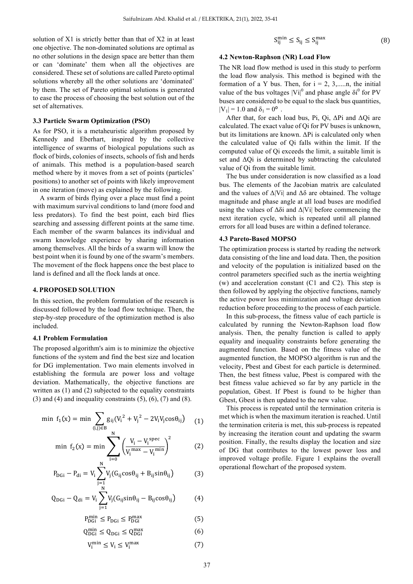solution of X1 is strictly better than that of X2 in at least one objective. The non-dominated solutions are optimal as no other solutions in the design space are better than them or can 'dominate' them when all the objectives are considered. These set of solutions are called Pareto optimal solutions whereby all the other solutions are 'dominated' by them. The set of Pareto optimal solutions is generated to ease the process of choosing the best solution out of the set of alternatives.

#### **3.3 Particle Swarm Optimization (PSO)**

As for PSO, it is a metaheuristic algorithm proposed by Kennedy and Eberhart, inspired by the collective intelligence of swarms of biological populations such as flock of birds, colonies of insects, schools of fish and herds of animals. This method is a population-based search method where by it moves from a set of points (particles' positions) to another set of points with likely improvement in one iteration (move) as explained by the following.

A swarm of birds flying over a place must find a point with maximum survival conditions to land (more food and less predators). To find the best point, each bird flies searching and assessing different points at the same time. Each member of the swarm balances its individual and swarm knowledge experience by sharing information among themselves. All the birds of a swarm will know the best point when it is found by one of the swarm's members. The movement of the flock happens once the best place to land is defined and all the flock lands at once.

#### **4. PROPOSED SOLUTION**

In this section, the problem formulation of the research is discussed followed by the load flow technique. Then, the step-by-step procedure of the optimization method is also included.

#### **4.1 Problem Formulation**

The proposed algorithm's aim is to minimize the objective functions of the system and find the best size and location for DG implementation. Two main elements involved in establishing the formula are power loss and voltage deviation. Mathematically, the objective functions are written as (1) and (2) subjected to the equality constraints  $(3)$  and  $(4)$  and inequality constraints  $(5)$ ,  $(6)$ ,  $(7)$  and  $(8)$ .

$$
\text{min } f_1(x) = \text{min } \sum_{(i,j) \in B} g_{ij} (V_i^2 + V_j^2 - 2V_i V_j \cos \theta_{ij}) \quad (1)
$$

$$
\min f_2(x) = \min \sum_{i=0}^{N} \left( \frac{V_i - V_i^{spec}}{V_i^{max} - V_i^{min}} \right)^2 \tag{2}
$$

$$
P_{\text{DGi}} - P_{\text{di}} = V_i \sum_{j=1}^{N} V_j (G_{ij} \cos \theta_{ij} + B_{ij} \sin \theta_{ij})
$$
 (3)

$$
Q_{DGi} - Q_{di} = V_i \sum_{j=1}^{N} V_j (G_{ij} sin\theta_{ij} - B_{ij} cos\theta_{ij})
$$
 (4)

$$
P_{\text{DGi}}^{\min} \le P_{\text{DGi}} \le P_{\text{DGi}}^{\max} \tag{5}
$$

$$
Q_{\rm DGi}^{\rm min} \le Q_{\rm DGi} \le Q_{\rm DGi}^{\rm max} \tag{6}
$$

$$
V_i^{\min} \le V_i \le V_i^{\max} \tag{7}
$$

$$
S_{ij}^{\min} \le S_{ij} \le S_{ij}^{\max} \tag{8}
$$

#### **4.2 Newton-Raphson (NR) Load Flow**

The NR load flow method is used in this study to perform the load flow analysis. This method is begined with the formation of a Y bus. Then, for  $i = 2, 3, \dots, n$ , the initial value of the bus voltages  $|Vi|^0$  and phase angle  $\delta i^0$  for PV buses are considered to be equal to the slack bus quantities,  $|V_1| = 1.0$  and  $\delta_1 = 0^{\circ}$ .

After that, for each load bus, Pi, Qi,  $\Delta$ Pi and  $\Delta$ Qi are calculated. The exact value of Qi for PV buses is unknown, but its limitations are known. ΔPi is calculated only when the calculated value of Qi falls within the limit. If the computed value of Qi exceeds the limit, a suitable limit is set and ΔQi is determined by subtracting the calculated value of Qi from the suitable limit.

The bus under consideration is now classified as a load bus. The elements of the Jacobian matrix are calculated and the values of  $\Delta$ |Vi| and  $\Delta\delta$  are obtained. The voltage magnitude and phase angle at all load buses are modified using the values of  $\Delta \delta i$  and  $\Delta |V_i|$  before commencing the next iteration cycle, which is repeated until all planned errors for all load buses are within a defined tolerance.

#### **4.3 Pareto-Based MOPSO**

The optimization process is started by reading the network data consisting of the line and load data. Then, the position and velocity of the population is initialized based on the control parameters specified such as the inertia weighting (w) and acceleration constant (C1 and C2). This step is then followed by applying the objective functions, namely the active power loss minimization and voltage deviation reduction before proceeding to the process of each particle.

In this sub-process, the fitness value of each particle is calculated by running the Newton-Raphson load flow analysis. Then, the penalty function is called to apply equality and inequality constraints before generating the augmented function. Based on the fitness value of the augmented function, the MOPSO algorithm is run and the velocity, Pbest and Gbest for each particle is determined. Then, the best fitness value, Pbest is compared with the best fitness value achieved so far by any particle in the population, Gbest. If Pbest is found to be higher than Gbest, Gbest is then updated to the new value.

This process is repeated until the termination criteria is met which is when the maximum iteration is reached. Until the termination criteria is met, this sub-process is repeated by increasing the iteration count and updating the swarm position. Finally, the results display the location and size of DG that contributes to the lowest power loss and improved voltage profile. Figure 1 explains the overall operational flowchart of the proposed system.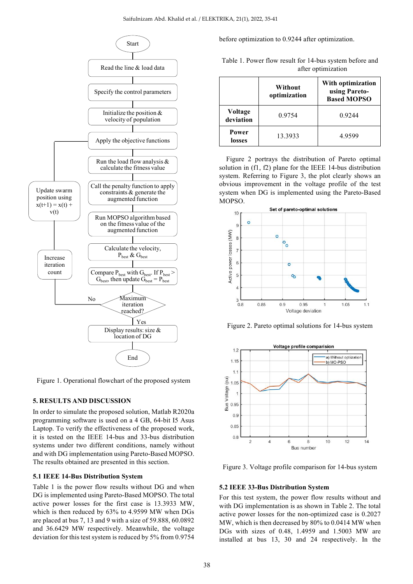

Figure 1. Operational flowchart of the proposed system

#### **5. RESULTS AND DISCUSSION**

In order to simulate the proposed solution, Matlab R2020a programming software is used on a 4 GB, 64-bit I5 Asus Laptop. To verify the effectiveness of the proposed work, it is tested on the IEEE 14-bus and 33-bus distribution systems under two different conditions, namely without and with DG implementation using Pareto-Based MOPSO. The results obtained are presented in this section.

#### **5.1 IEEE 14-Bus Distribution System**

Table 1 is the power flow results without DG and when DG is implemented using Pareto-Based MOPSO. The total active power losses for the first case is 13.3933 MW, which is then reduced by 63% to 4.9599 MW when DGs are placed at bus 7, 13 and 9 with a size of 59.888, 60.0892 and 36.6429 MW respectively. Meanwhile, the voltage deviation for this test system is reduced by 5% from 0.9754

before optimization to 0.9244 after optimization.

|                        | Without<br>optimization | With optimization<br>using Pareto-<br><b>Based MOPSO</b> |
|------------------------|-------------------------|----------------------------------------------------------|
| Voltage<br>deviation   | 0.9754                  | 0.9244                                                   |
| <b>Power</b><br>losses | 13.3933                 | 4.9599                                                   |

Table 1. Power flow result for 14-bus system before and after optimization

Figure 2 portrays the distribution of Pareto optimal solution in (f1, f2) plane for the IEEE 14-bus distribution system. Referring to Figure 3, the plot clearly shows an obvious improvement in the voltage profile of the test system when DG is implemented using the Pareto-Based MOPSO.



Figure 2. Pareto optimal solutions for 14-bus system



Figure 3. Voltage profile comparison for 14-bus system

#### **5.2 IEEE 33-Bus Distribution System**

For this test system, the power flow results without and with DG implementation is as shown in Table 2. The total active power losses for the non-optimized case is 0.2027 MW, which is then decreased by 80% to 0.0414 MW when DGs with sizes of 0.48, 1.4959 and 1.5003 MW are installed at bus 13, 30 and 24 respectively. In the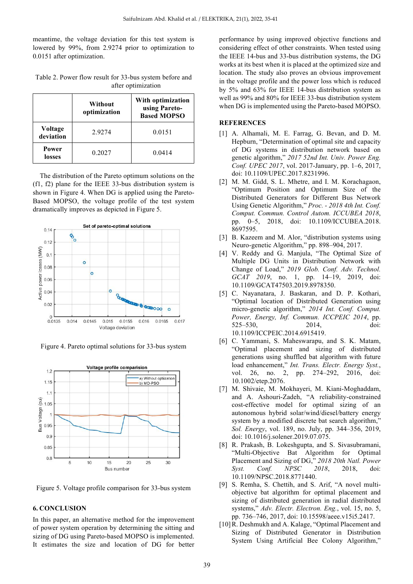meantime, the voltage deviation for this test system is lowered by 99%, from 2.9274 prior to optimization to 0.0151 after optimization.

|                      | Without<br>optimization | With optimization<br>using Pareto-<br><b>Based MOPSO</b> |
|----------------------|-------------------------|----------------------------------------------------------|
| Voltage<br>deviation | 2.9274                  | 0.0151                                                   |
| Power<br>losses      | 0.2027                  | 0.0414                                                   |

Table 2. Power flow result for 33-bus system before and after optimization

The distribution of the Pareto optimum solutions on the (f1, f2) plane for the IEEE 33-bus distribution system is shown in Figure 4. When DG is applied using the Pareto-Based MOPSO, the voltage profile of the test system dramatically improves as depicted in Figure 5.



Figure 4. Pareto optimal solutions for 33-bus system



Figure 5. Voltage profile comparison for 33-bus system

#### **6. CONCLUSION**

In this paper, an alternative method for the improvement of power system operation by determining the sitting and sizing of DG using Pareto-based MOPSO is implemented. It estimates the size and location of DG for better

performance by using improved objective functions and considering effect of other constraints. When tested using the IEEE 14-bus and 33-bus distribution systems, the DG works at its best when it is placed at the optimized size and location. The study also proves an obvious improvement in the voltage profile and the power loss which is reduced by 5% and 63% for IEEE 14-bus distribution system as well as 99% and 80% for IEEE 33-bus distribution system when DG is implemented using the Pareto-based MOPSO.

#### **REFERENCES**

- [1] A. Alhamali, M. E. Farrag, G. Bevan, and D. M. Hepburn, "Determination of optimal site and capacity of DG systems in distribution network based on genetic algorithm," *2017 52nd Int. Univ. Power Eng. Conf. UPEC 2017*, vol. 2017-January, pp. 1–6, 2017, doi: 10.1109/UPEC.2017.8231996.
- [2] M. M. Gidd, S. L. Mhetre, and I. M. Korachagaon, "Optimum Position and Optimum Size of the Distributed Generators for Different Bus Network Using Genetic Algorithm," *Proc. - 2018 4th Int. Conf. Comput. Commun. Control Autom. ICCUBEA 2018*, pp. 0–5, 2018, doi: 10.1109/ICCUBEA.2018. 8697595.
- [3] B. Kazeem and M. Alor, "distribution systems using Neuro-genetic Algorithm," pp. 898–904, 2017.
- [4] V. Reddy and G. Manjula, "The Optimal Size of Multiple DG Units in Distribution Network with Change of Load," *2019 Glob. Conf. Adv. Technol. GCAT 2019*, no. 1, pp. 14–19, 2019, doi: 10.1109/GCAT47503.2019.8978350.
- [5] C. Nayanatara, J. Baskaran, and D. P. Kothari, "Optimal location of Distributed Generation using micro-genetic algorithm," *2014 Int. Conf. Comput. Power, Energy, Inf. Commun. ICCPEIC 2014*, pp. 525–530, 2014, doi: 10.1109/ICCPEIC.2014.6915419.
- [6] C. Yammani, S. Maheswarapu, and S. K. Matam, "Optimal placement and sizing of distributed generations using shuffled bat algorithm with future load enhancement," *Int. Trans. Electr. Energy Syst.*, vol. 26, no. 2, pp. 274–292, 2016, doi: 10.1002/etep.2076.
- [7] M. Shivaie, M. Mokhayeri, M. Kiani-Moghaddam, and A. Ashouri-Zadeh, "A reliability-constrained cost-effective model for optimal sizing of an autonomous hybrid solar/wind/diesel/battery energy system by a modified discrete bat search algorithm," *Sol. Energy*, vol. 189, no. July, pp. 344–356, 2019, doi: 10.1016/j.solener.2019.07.075.
- [8] R. Prakash, B. Lokeshgupta, and S. Sivasubramani, "Multi-Objective Bat Algorithm for Optimal Placement and Sizing of DG," *2018 20th Natl. Power Syst. Conf. NPSC 2018*, 2018, doi: 10.1109/NPSC.2018.8771440.
- [9] S. Remha, S. Chettih, and S. Arif, "A novel multiobjective bat algorithm for optimal placement and sizing of distributed generation in radial distributed systems," *Adv. Electr. Electron. Eng.*, vol. 15, no. 5, pp. 736–746, 2017, doi: 10.15598/aeee.v15i5.2417.
- [10] R. Deshmukh and A. Kalage, "Optimal Placement and Sizing of Distributed Generator in Distribution System Using Artificial Bee Colony Algorithm,"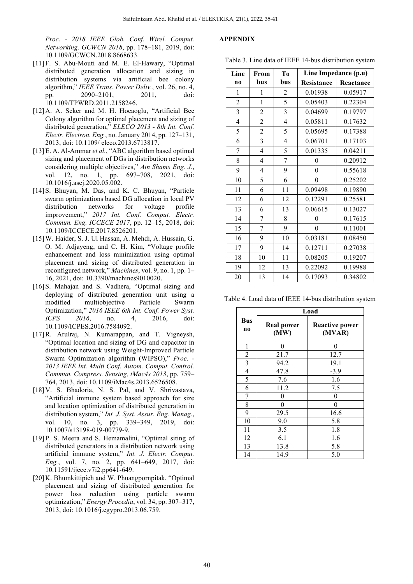*Proc. - 2018 IEEE Glob. Conf. Wirel. Comput. Networking, GCWCN 2018*, pp. 178–181, 2019, doi: 10.1109/GCWCN.2018.8668633.

- [11] F. S. Abu-Mouti and M. E. El-Hawary, "Optimal distributed generation allocation and sizing in distribution systems via artificial bee colony algorithm," *IEEE Trans. Power Deliv.*, vol. 26, no. 4, pp. 2090–2101, 2011, doi: 10.1109/TPWRD.2011.2158246.
- [12] A. A. Seker and M. H. Hocaoglu, "Artificial Bee Colony algorithm for optimal placement and sizing of distributed generation," *ELECO 2013 - 8th Int. Conf. Electr. Electron. Eng.*, no. January 2014, pp. 127–131, 2013, doi: 10.1109/ eleco.2013.6713817.
- [13]E. A. Al-Ammar *et al.*, "ABC algorithm based optimal sizing and placement of DGs in distribution networks considering multiple objectives," *Ain Shams Eng. J.*, vol. 12, no. 1, pp. 697–708, 2021, doi: 10.1016/j.asej.2020.05.002.
- [14] S. Bhuyan, M. Das, and K. C. Bhuyan, "Particle swarm optimizations based DG allocation in local PV distribution networks for voltage profile improvement," *2017 Int. Conf. Comput. Electr. Commun. Eng. ICCECE 2017*, pp. 12–15, 2018, doi: 10.1109/ICCECE.2017.8526201.
- [15]W. Haider, S. J. Ul Hassan, A. Mehdi, A. Hussain, G. O. M. Adjayeng, and C. H. Kim, "Voltage profile enhancement and loss minimization using optimal placement and sizing of distributed generation in reconfigured network," *Machines*, vol. 9, no. 1, pp. 1– 16, 2021, doi: 10.3390/machines9010020.
- [16] S. Mahajan and S. Vadhera, "Optimal sizing and deploying of distributed generation unit using a modified multiobjective Particle Swarm Optimization," *2016 IEEE 6th Int. Conf. Power Syst. ICPS 2016*, no. 4, 2016, doi: 10.1109/ICPES.2016.7584092.
- [17]R. Arulraj, N. Kumarappan, and T. Vigneysh, "Optimal location and sizing of DG and capacitor in distribution network using Weight-Improved Particle Swarm Optimization algorithm (WIPSO)," *Proc. - 2013 IEEE Int. Multi Conf. Autom. Comput. Control. Commun. Compress. Sensing, iMac4s 2013*, pp. 759– 764, 2013, doi: 10.1109/iMac4s.2013.6526508.
- [18] V. S. Bhadoria, N. S. Pal, and V. Shrivastava, "Artificial immune system based approach for size and location optimization of distributed generation in distribution system," *Int. J. Syst. Assur. Eng. Manag.*, vol. 10, no. 3, pp. 339–349, 2019, doi: 10.1007/s13198-019-00779-9.
- [19] P. S. Meera and S. Hemamalini, "Optimal siting of distributed generators in a distribution network using artificial immune system," *Int. J. Electr. Comput. Eng.*, vol. 7, no. 2, pp. 641–649, 2017, doi: 10.11591/ijece.v7i2.pp641-649.
- [20] K. Bhumkittipich and W. Phuangpornpitak, "Optimal" placement and sizing of distributed generation for power loss reduction using particle swarm optimization," *Energy Procedia*, vol. 34, pp. 307–317, 2013, doi: 10.1016/j.egypro.2013.06.759.

#### **APPENDIX**

Table 3. Line data of IEEE 14-bus distribution system

| Line                    | From           | T <sub>0</sub>          | Line Impedance (p.u) |           |
|-------------------------|----------------|-------------------------|----------------------|-----------|
| n <sub>0</sub>          | bus            | bus                     | <b>Resistance</b>    | Reactance |
| 1                       | 1              | 2                       | 0.01938              | 0.05917   |
| $\overline{2}$          | $\mathbf{1}$   | 5                       | 0.05403              | 0.22304   |
| $\overline{\mathbf{3}}$ | $\overline{2}$ | 3                       | 0.04699              | 0.19797   |
| $\overline{4}$          | $\overline{2}$ | 4                       | 0.05811              | 0.17632   |
| 5                       | $\overline{2}$ | 5                       | 0.05695              | 0.17388   |
| 6                       | 3              | $\overline{\mathbf{4}}$ | 0.06701              | 0.17103   |
| 7                       | $\overline{4}$ | 5                       | 0.01335              | 0.04211   |
| 8                       | $\overline{4}$ | $\overline{7}$          | $\overline{0}$       | 0.20912   |
| 9                       | 4              | 9                       | $\theta$             | 0.55618   |
| 10                      | 5              | 6                       | $\boldsymbol{0}$     | 0.25202   |
| 11                      | 6              | 11                      | 0.09498              | 0.19890   |
| 12                      | 6              | 12                      | 0.12291              | 0.25581   |
| 13                      | 6              | 13                      | 0.06615              | 0.13027   |
| 14                      | 7              | 8                       | $\theta$             | 0.17615   |
| 15                      | $\overline{7}$ | 9                       | $\boldsymbol{0}$     | 0.11001   |
| 16                      | 9              | 10                      | 0.03181              | 0.08450   |
| 17                      | 9              | 14                      | 0.12711              | 0.27038   |
| 18                      | 10             | 11                      | 0.08205              | 0.19207   |
| 19                      | 12             | 13                      | 0.22092              | 0.19988   |
| 20                      | 13             | 14                      | 0.17093              | 0.34802   |

Table 4. Load data of IEEE 14-bus distribution system

|                              | Load                      |                                 |  |
|------------------------------|---------------------------|---------------------------------|--|
| <b>Bus</b><br>n <sub>0</sub> | <b>Real power</b><br>(MW) | <b>Reactive power</b><br>(MVAR) |  |
| 1                            | 0                         | 0                               |  |
| $\overline{2}$               | 21.7                      | 12.7                            |  |
| 3                            | 94.2                      | 19.1                            |  |
| $\overline{4}$               | 47.8                      | $-3.9$                          |  |
| 5                            | 7.6                       | 1.6                             |  |
| 6                            | 11.2                      | 7.5                             |  |
| 7                            | 0                         | 0                               |  |
| 8                            | 0                         | 0                               |  |
| 9                            | 29.5                      | 16.6                            |  |
| 10                           | 9.0                       | 5.8                             |  |
| 11                           | 3.5                       | 1.8                             |  |
| 12                           | 6.1                       | 1.6                             |  |
| 13                           | 13.8                      | 5.8                             |  |
| 14                           | 14.9                      | 5.0                             |  |